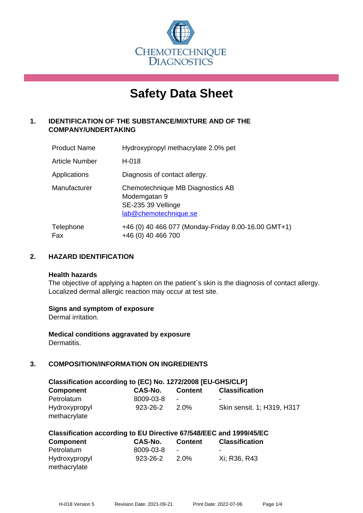

# **Safety Data Sheet**

# **1. IDENTIFICATION OF THE SUBSTANCE/MIXTURE AND OF THE COMPANY/UNDERTAKING**

| <b>Product Name</b> | Hydroxypropyl methacrylate 2.0% pet                                                             |
|---------------------|-------------------------------------------------------------------------------------------------|
| Article Number      | H-018                                                                                           |
| Applications        | Diagnosis of contact allergy.                                                                   |
| Manufacturer        | Chemotechnique MB Diagnostics AB<br>Modemgatan 9<br>SE-235 39 Vellinge<br>lab@chemotechnique.se |
| Telephone<br>Fax    | +46 (0) 40 466 077 (Monday-Friday 8.00-16.00 GMT+1)<br>+46 (0) 40 466 700                       |

## **2. HAZARD IDENTIFICATION**

#### **Health hazards**

The objective of applying a hapten on the patient's skin is the diagnosis of contact allergy. Localized dermal allergic reaction may occur at test site.

## **Signs and symptom of exposure**

Dermal irritation.

**Medical conditions aggravated by exposure** Dermatitis.

# **3. COMPOSITION/INFORMATION ON INGREDIENTS**

| Classification according to (EC) No. 1272/2008 [EU-GHS/CLP] |           |         |                            |  |  |
|-------------------------------------------------------------|-----------|---------|----------------------------|--|--|
| <b>Component</b>                                            | CAS-No.   | Content | <b>Classification</b>      |  |  |
| Petrolatum                                                  | 8009-03-8 | ۰       |                            |  |  |
| Hydroxypropyl<br>methacrylate                               | 923-26-2  | 2.0%    | Skin sensit. 1; H319, H317 |  |  |

| Classification according to EU Directive 67/548/EEC and 1999/45/EC |                |                |                       |  |
|--------------------------------------------------------------------|----------------|----------------|-----------------------|--|
| Component                                                          | <b>CAS-No.</b> | <b>Content</b> | <b>Classification</b> |  |
| Petrolatum                                                         | 8009-03-8      | $\blacksquare$ | -                     |  |
| Hydroxypropyl                                                      | 923-26-2       | 2.0%           | Xi: R36, R43          |  |
| methacrylate                                                       |                |                |                       |  |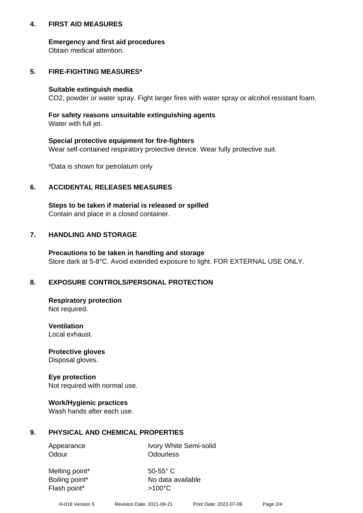## **4. FIRST AID MEASURES**

## **Emergency and first aid procedures**

Obtain medical attention.

# **5. FIRE-FIGHTING MEASURES\***

#### **Suitable extinguish media**

CO2, powder or water spray. Fight larger fires with water spray or alcohol resistant foam.

# **For safety reasons unsuitable extinguishing agents**

Water with full jet.

## **Special protective equipment for fire-fighters**

Wear self-contained respiratory protective device. Wear fully protective suit.

\*Data is shown for petrolatum only

## **6. ACCIDENTAL RELEASES MEASURES**

**Steps to be taken if material is released or spilled** Contain and place in a closed container.

# **7. HANDLING AND STORAGE**

**Precautions to be taken in handling and storage** Store dark at 5-8°C. Avoid extended exposure to light. FOR EXTERNAL USE ONLY.

# **8. EXPOSURE CONTROLS/PERSONAL PROTECTION**

**Respiratory protection** Not required.

**Ventilation** Local exhaust.

**Protective gloves** Disposal gloves.

#### **Eye protection** Not required with normal use.

## **Work/Hygienic practices**

Wash hands after each use.

## **9. PHYSICAL AND CHEMICAL PROPERTIES**

Odour **Odourless** 

Appearance Ivory White Semi-solid

Melting point\* 50-55° C Flash point\*  $>100^{\circ}$ C

Boiling point\* No data available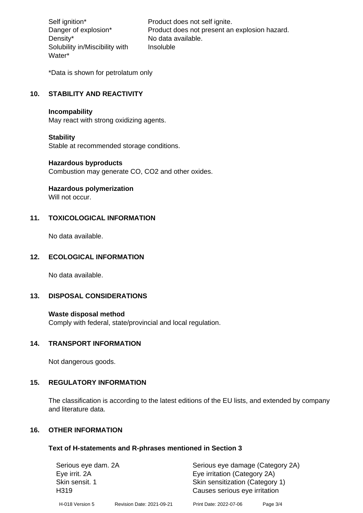Density\* No data available. Solubility in/Miscibility with Water\*

Self ignition\* Product does not self ignite. Danger of explosion\* Product does not present an explosion hazard. Insoluble

\*Data is shown for petrolatum only

# **10. STABILITY AND REACTIVITY**

#### **Incompability**

May react with strong oxidizing agents.

#### **Stability**

Stable at recommended storage conditions.

#### **Hazardous byproducts**

Combustion may generate CO, CO2 and other oxides.

**Hazardous polymerization**

Will not occur.

## **11. TOXICOLOGICAL INFORMATION**

No data available.

## **12. ECOLOGICAL INFORMATION**

No data available.

## **13. DISPOSAL CONSIDERATIONS**

#### **Waste disposal method**

Comply with federal, state/provincial and local regulation.

#### **14. TRANSPORT INFORMATION**

Not dangerous goods.

## **15. REGULATORY INFORMATION**

The classification is according to the latest editions of the EU lists, and extended by company and literature data.

#### **16. OTHER INFORMATION**

#### **Text of H-statements and R-phrases mentioned in Section 3**

| Serious eye dam. 2A                |                           | Serious eye damage (Category 2A)                                 |          |  |
|------------------------------------|---------------------------|------------------------------------------------------------------|----------|--|
| Eye irrit. 2A                      |                           | Eye irritation (Category 2A)                                     |          |  |
| Skin sensit. 1<br>H <sub>319</sub> |                           | Skin sensitization (Category 1)<br>Causes serious eye irritation |          |  |
| H-018 Version 5                    | Revision Date: 2021-09-21 | Print Date: 2022-07-06                                           | Page 3/4 |  |